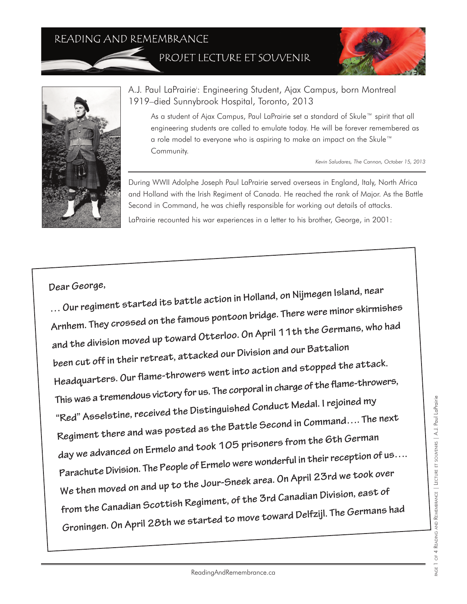## READING AND REMEMBRANCE

PROJET LECTURE ET SOUVENIR





## A.J. Paul LaPrairiei : Engineering Student, Ajax Campus, born Montreal 1919–died Sunnybrook Hospital, Toronto, 2013

As a student of Ajax Campus, Paul LaPrairie set a standard of Skule™ spirit that all engineering students are called to emulate today. He will be forever remembered as a role model to everyone who is aspiring to make an impact on the Skule™ Community.

*Kevin Saludares, The Cannon, October 15, 2013*

During WWII Adolphe Joseph Paul LaPrairie served overseas in England, Italy, North Africa and Holland with the Irish Regiment of Canada. He reached the rank of Major. As the Battle Second in Command, he was chiefly responsible for working out details of attacks. LaPrairie recounted his war experiences in a letter to his brother, George, in 2001:

**Dear George,** 

**… Our regiment started its battle action in Holland, on Nijmegen Island, near Arnhem. They crossed on the famous pontoon bridge. There were minor skirmishes and the division moved up toward Otterloo. On April 11th the Germans, who had been cut off in their retreat, attacked our Division and our Battalion Headquarters. Our flame-throwers went into action and stopped the attack. This was a tremendous victory for us. The corporal in charge of the flame-throwers, "Red" Asselstine, received the Distinguished Conduct Medal. I rejoined my Regiment there and was posted as the Battle Second in Command…. The next day we advanced on Ermelo and took 105 prisoners from the 6th German Parachute Division. The People of Ermelo were wonderful in their reception of us…. We then moved on and up to the Jour-Sneek area. On April 23rd we took over from the Canadian Scottish Regiment, of the 3rd Canadian Division, east of Groningen. On April 28th we started to move toward Delfzijl. The Germans had**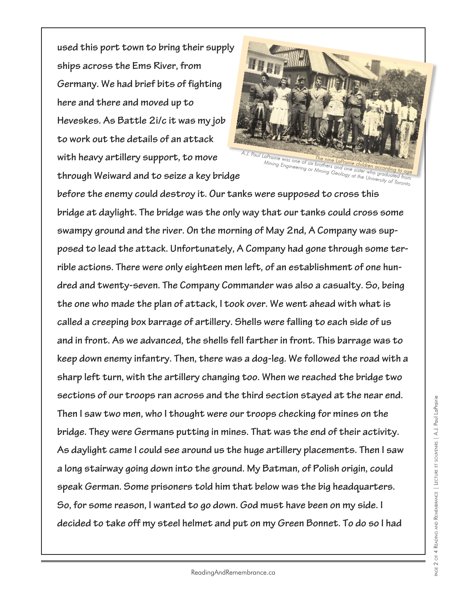**used this port town to bring their supply ships across the Ems River, from Germany. We had brief bits of fighting here and there and moved up to Heveskes. As Battle 2i/c it was my job to work out the details of an attack with heavy artillery support, to move through Weiward and to seize a key bridge**



**before the enemy could destroy it. Our tanks were supposed to cross this bridge at daylight. The bridge was the only way that our tanks could cross some swampy ground and the river. On the morning of May 2nd, A Company was supposed to lead the attack. Unfortunately, A Company had gone through some terrible actions. There were only eighteen men left, of an establishment of one hundred and twenty-seven. The Company Commander was also a casualty. So, being the one who made the plan of attack, I took over. We went ahead with what is called a creeping box barrage of artillery. Shells were falling to each side of us and in front. As we advanced, the shells fell farther in front. This barrage was to keep down enemy infantry. Then, there was a dog-leg. We followed the road with a sharp left turn, with the artillery changing too. When we reached the bridge two sections of our troops ran across and the third section stayed at the near end. Then I saw two men, who I thought were our troops checking for mines on the bridge. They were Germans putting in mines. That was the end of their activity. As daylight came I could see around us the huge artillery placements. Then I saw a long stairway going down into the ground. My Batman, of Polish origin, could speak German. Some prisoners told him that below was the big headquarters. So, for some reason, I wanted to go down. God must have been on my side. I decided to take off my steel helmet and put on my Green Bonnet. To do so I had**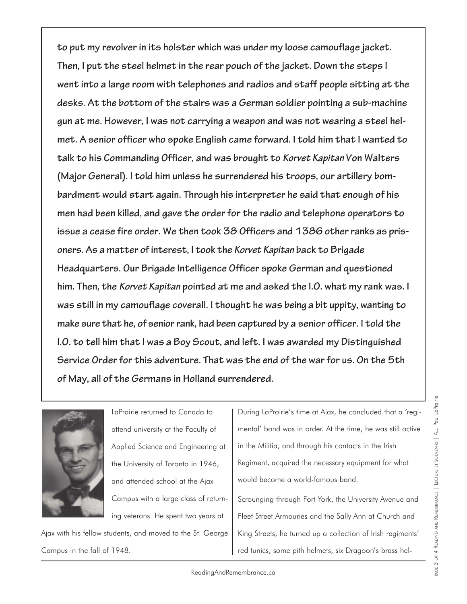**to put my revolver in its holster which was under my loose camouflage jacket. Then, I put the steel helmet in the rear pouch of the jacket. Down the steps I went into a large room with telephones and radios and staff people sitting at the desks. At the bottom of the stairs was a German soldier pointing a sub-machine gun at me. However, I was not carrying a weapon and was not wearing a steel helmet. A senior officer who spoke English came forward. I told him that I wanted to talk to his Commanding Officer, and was brought to** *Korvet Kapitan* **Von Walters (Major General). I told him unless he surrendered his troops, our artillery bombardment would start again. Through his interpreter he said that enough of his men had been killed, and gave the order for the radio and telephone operators to issue a cease fire order. We then took 38 Officers and 1386 other ranks as prisoners. As a matter of interest, I took the** *Korvet Kapitan* **back to Brigade Headquarters. Our Brigade Intelligence Officer spoke German and questioned him. Then, the** *Korvet Kapitan* **pointed at me and asked the I.O. what my rank was. I was still in my camouflage coverall. I thought he was being a bit uppity, wanting to make sure that he, of senior rank, had been captured by a senior officer. I told the I.O. to tell him that I was a Boy Scout, and left. I was awarded my Distinguished Service Order for this adventure. That was the end of the war for us. On the 5th of May, all of the Germans in Holland surrendered.**



LaPrairie returned to Canada to attend university at the Faculty of Applied Science and Engineering at the University of Toronto in 1946, and attended school at the Ajax Campus with a large class of returning veterans. He spent two years at

Ajax with his fellow students, and moved to the St. George Campus in the fall of 1948.

During LaPrairie's time at Ajax, he concluded that a 'regimental' band was in order. At the time, he was still active in the Militia, and through his contacts in the Irish Regiment, acquired the necessary equipment for what would become a world-famous band.

Scrounging through Fort York, the University Avenue and Fleet Street Armouries and the Sally Ann at Church and King Streets, he turned up a collection of Irish regiments' red tunics, some pith helmets, six Dragoon's brass hel